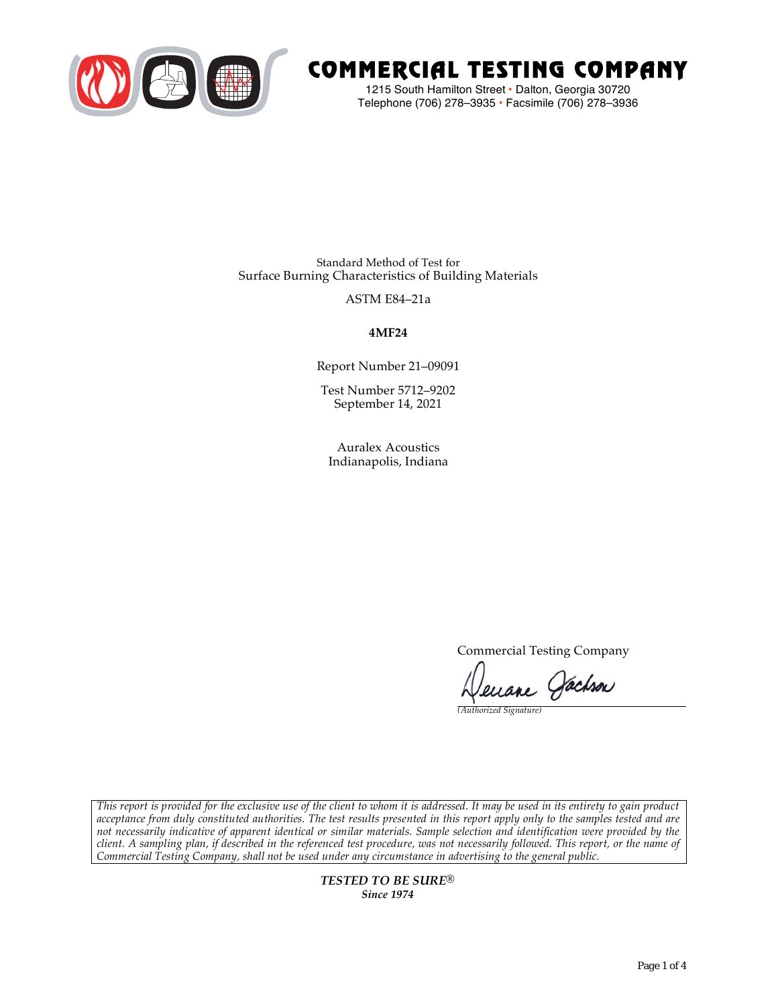

# COMMERCIAL TESTING COMPANY

1215 South Hamilton Street • Dalton, Georgia 30720 Telephone (706) 278–3935 **•** Facsimile (706) 278–3936

Standard Method of Test for Surface Burning Characteristics of Building Materials

ASTM E84–21a

**4MF24**

Report Number 21–09091

Test Number 5712–9202 September 14, 2021

Auralex Acoustics Indianapolis, Indiana

Commercial Testing Company

enane Jachson

*(Authorized Signature)* 

*This report is provided for the exclusive use of the client to whom it is addressed. It may be used in its entirety to gain product acceptance from duly constituted authorities. The test results presented in this report apply only to the samples tested and are not necessarily indicative of apparent identical or similar materials. Sample selection and identification were provided by the client. A sampling plan, if described in the referenced test procedure, was not necessarily followed. This report, or the name of Commercial Testing Company, shall not be used under any circumstance in advertising to the general public.* 

> *TESTED TO BE SURE® Since 1974*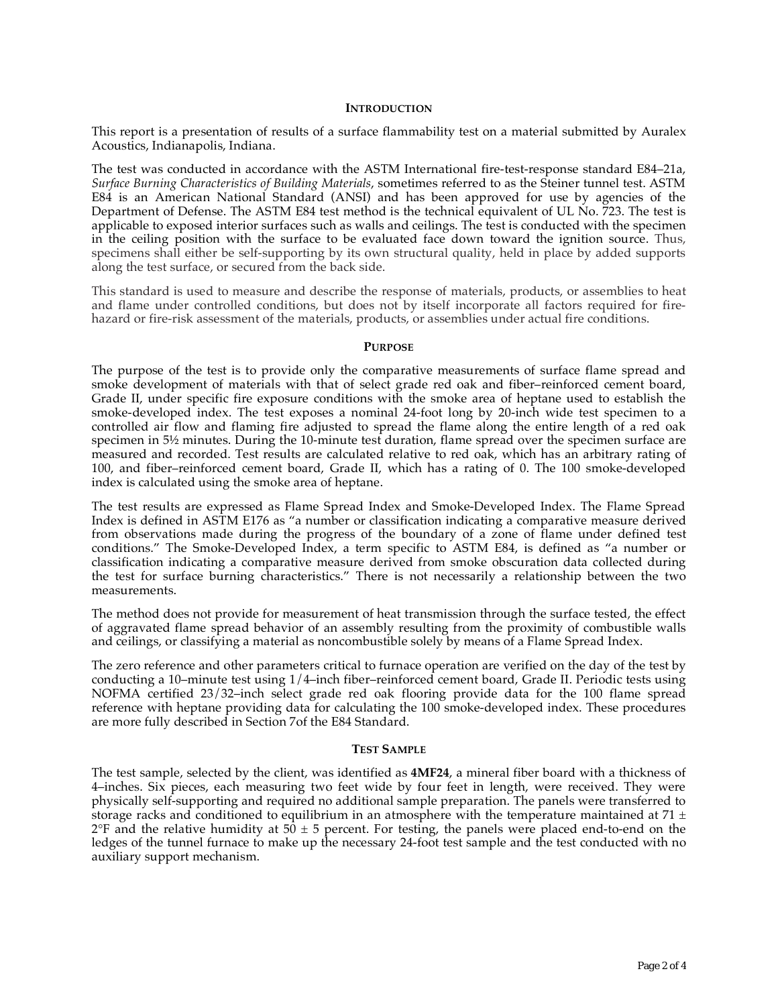#### **INTRODUCTION**

This report is a presentation of results of a surface flammability test on a material submitted by Auralex Acoustics, Indianapolis, Indiana.

The test was conducted in accordance with the ASTM International fire-test-response standard E84–21a, *Surface Burning Characteristics of Building Materials*, sometimes referred to as the Steiner tunnel test. ASTM E84 is an American National Standard (ANSI) and has been approved for use by agencies of the Department of Defense. The ASTM E84 test method is the technical equivalent of UL No. 723. The test is applicable to exposed interior surfaces such as walls and ceilings. The test is conducted with the specimen in the ceiling position with the surface to be evaluated face down toward the ignition source. Thus, specimens shall either be self-supporting by its own structural quality, held in place by added supports along the test surface, or secured from the back side.

This standard is used to measure and describe the response of materials, products, or assemblies to heat and flame under controlled conditions, but does not by itself incorporate all factors required for firehazard or fire-risk assessment of the materials, products, or assemblies under actual fire conditions.

#### **PURPOSE**

The purpose of the test is to provide only the comparative measurements of surface flame spread and smoke development of materials with that of select grade red oak and fiber–reinforced cement board, Grade II, under specific fire exposure conditions with the smoke area of heptane used to establish the smoke-developed index. The test exposes a nominal 24-foot long by 20-inch wide test specimen to a controlled air flow and flaming fire adjusted to spread the flame along the entire length of a red oak specimen in  $5\frac{1}{2}$  minutes. During the 10-minute test duration, flame spread over the specimen surface are measured and recorded. Test results are calculated relative to red oak, which has an arbitrary rating of 100, and fiber–reinforced cement board, Grade II, which has a rating of 0. The 100 smoke-developed index is calculated using the smoke area of heptane.

The test results are expressed as Flame Spread Index and Smoke-Developed Index. The Flame Spread Index is defined in ASTM E176 as "a number or classification indicating a comparative measure derived from observations made during the progress of the boundary of a zone of flame under defined test conditions." The Smoke-Developed Index, a term specific to ASTM E84, is defined as "a number or classification indicating a comparative measure derived from smoke obscuration data collected during the test for surface burning characteristics." There is not necessarily a relationship between the two measurements.

The method does not provide for measurement of heat transmission through the surface tested, the effect of aggravated flame spread behavior of an assembly resulting from the proximity of combustible walls and ceilings, or classifying a material as noncombustible solely by means of a Flame Spread Index.

The zero reference and other parameters critical to furnace operation are verified on the day of the test by conducting a 10–minute test using 1/4–inch fiber–reinforced cement board, Grade II. Periodic tests using NOFMA certified 23/32–inch select grade red oak flooring provide data for the 100 flame spread reference with heptane providing data for calculating the 100 smoke-developed index. These procedures are more fully described in Section 7of the E84 Standard.

#### **TEST SAMPLE**

The test sample, selected by the client, was identified as **4MF24**, a mineral fiber board with a thickness of 4–inches. Six pieces, each measuring two feet wide by four feet in length, were received. They were physically self-supporting and required no additional sample preparation. The panels were transferred to storage racks and conditioned to equilibrium in an atmosphere with the temperature maintained at 71  $\pm$  $2^{\circ}F$  and the relative humidity at 50  $\pm$  5 percent. For testing, the panels were placed end-to-end on the ledges of the tunnel furnace to make up the necessary 24-foot test sample and the test conducted with no auxiliary support mechanism.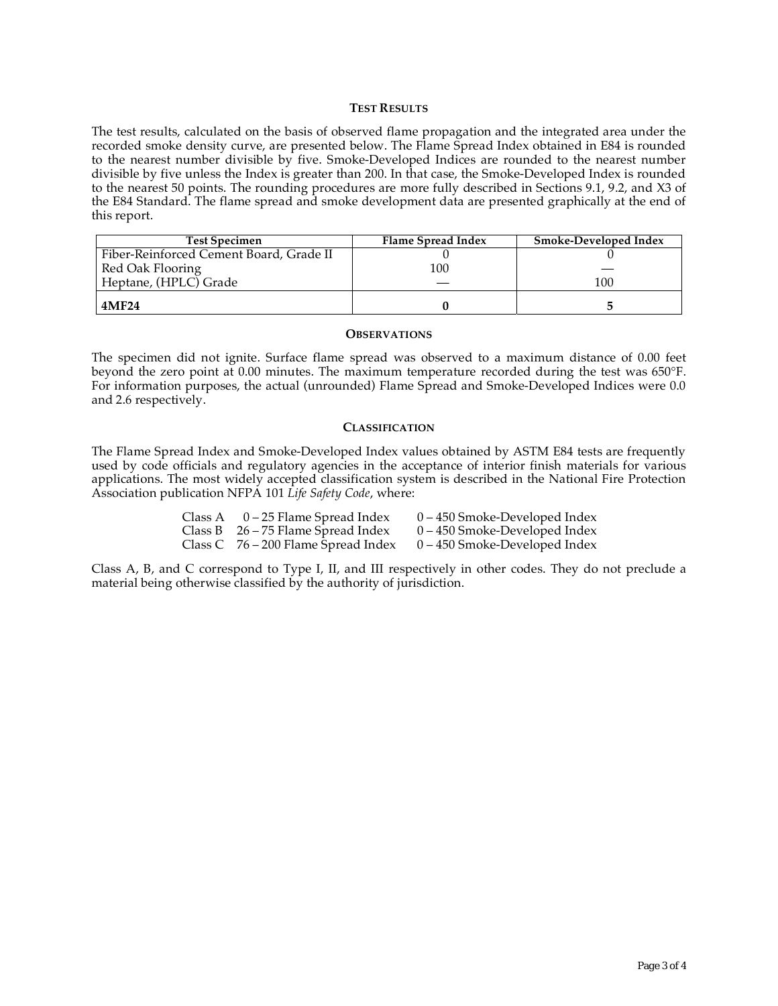### **TEST RESULTS**

The test results, calculated on the basis of observed flame propagation and the integrated area under the recorded smoke density curve, are presented below. The Flame Spread Index obtained in E84 is rounded to the nearest number divisible by five. Smoke-Developed Indices are rounded to the nearest number divisible by five unless the Index is greater than 200. In that case, the Smoke-Developed Index is rounded to the nearest 50 points. The rounding procedures are more fully described in Sections 9.1, 9.2, and X3 of the E84 Standard. The flame spread and smoke development data are presented graphically at the end of this report.

| <b>Test Specimen</b>                    | Flame Spread Index | <b>Smoke-Developed Index</b> |
|-----------------------------------------|--------------------|------------------------------|
| Fiber-Reinforced Cement Board, Grade II |                    |                              |
| Red Oak Flooring                        | 100                |                              |
| Heptane, (HPLC) Grade                   |                    | 100                          |
| 4MF24                                   |                    |                              |

#### **OBSERVATIONS**

The specimen did not ignite. Surface flame spread was observed to a maximum distance of 0.00 feet beyond the zero point at 0.00 minutes. The maximum temperature recorded during the test was 650°F. For information purposes, the actual (unrounded) Flame Spread and Smoke-Developed Indices were 0.0 and 2.6 respectively.

### **CLASSIFICATION**

The Flame Spread Index and Smoke-Developed Index values obtained by ASTM E84 tests are frequently used by code officials and regulatory agencies in the acceptance of interior finish materials for various applications. The most widely accepted classification system is described in the National Fire Protection Association publication NFPA 101 *Life Safety Code*, where:

| Class A $0-25$ Flame Spread Index     | $0 - 450$ Smoke-Developed Index |
|---------------------------------------|---------------------------------|
| Class B $26 - 75$ Flame Spread Index  | $0 - 450$ Smoke-Developed Index |
| Class C $76 - 200$ Flame Spread Index | $0 - 450$ Smoke-Developed Index |

Class A, B, and C correspond to Type I, II, and III respectively in other codes. They do not preclude a material being otherwise classified by the authority of jurisdiction.